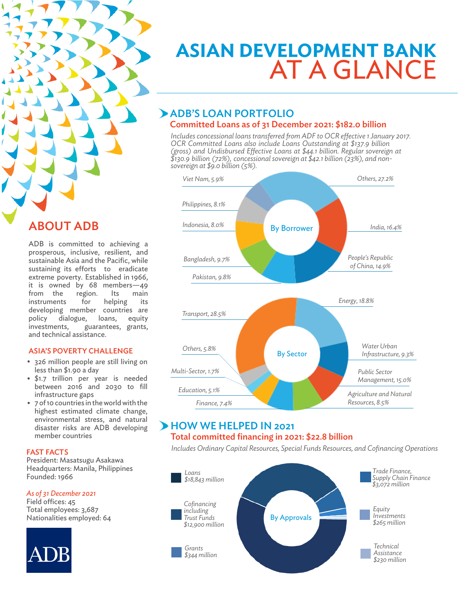

## ABOUT ADB

ADB is committed to achieving a prosperous, inclusive, resilient, and sustainable Asia and the Pacific, while sustaining its efforts to eradicate extreme poverty. Established in 1966, it is owned by 68 members—49 from the region. Its main instruments for helping its developing member countries are policy dialogue, loans, equity investments, guarantees, grants, and technical assistance.

#### ASIA'S POVERTY CHALLENGE

- 326 million people are still living on less than \$1.90 a day
- \$1.7 trillion per year is needed between 2016 and 2030 to fill infrastructure gaps
- 7 of 10 countries in the world with the highest estimated climate change, environmental stress, and natural disaster risks are ADB developing member countries

#### FAST FACTS

President: Masatsugu Asakawa Headquarters: Manila, Philippines Founded: 1966

#### *As of 31 December 2021*

Field offices: 45 Total employees: 3,687 Nationalities employed: 64



# **Asian Development Bank**  at a Glance

#### ADB'S LOAN PORTFOLIO Committed Loans as of 31 December 2021: \$182.0 billion

*Includes concessional loans transferred from ADF to OCR effective 1 January 2017. OCR Committed Loans also include Loans Outstanding at \$137.9 billion (gross) and Undisbursed Effective Loans at \$44.1 billion. Regular sovereign at \$130.9 billion (72%), concessional sovereign at \$42.1 billion (23%), and nonsovereign at \$9.0 billion (5%).*



#### **HOW WE HELPED IN 2021** Total committed financing in 2021: \$22.8 billion

*Includes Ordinary Capital Resources, Special Funds Resources, and Cofinancing Operations*